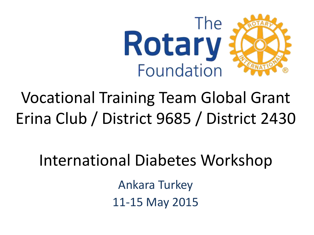

## Vocational Training Team Global Grant Erina Club / District 9685 / District 2430

### International Diabetes Workshop

Ankara Turkey 11-15 May 2015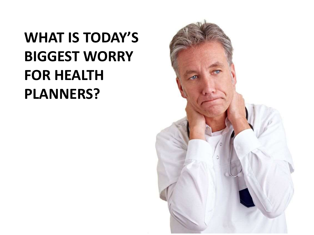### **WHAT IS TODAY'S BIGGEST WORRY FOR HEALTH PLANNERS?**

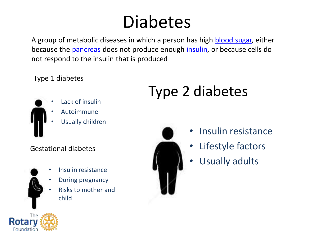## Diabetes

A group of metabolic diseases in which a person has high [blood sugar,](http://en.wikipedia.org/wiki/Blood_sugar) either because the [pancreas](http://en.wikipedia.org/wiki/Pancreas) does not produce enough [insulin,](http://en.wikipedia.org/wiki/Insulin) or because cells do not respond to the insulin that is produced

Type 1 diabetes



- Lack of insulin
- Autoimmune
- Usually children

#### Gestational diabetes

- Insulin resistance
- During pregnancy
- Risks to mother and child

## Type 2 diabetes



- Insulin resistance
- Lifestyle factors
- Usually adults

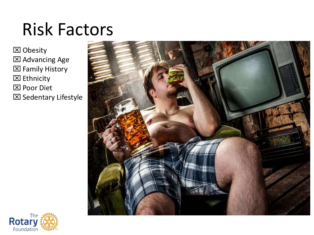## Risk Factors

 Obesity Advancing Age Family History **区** Ethnicity **区 Poor Diet** 

Sedentary Lifestyle



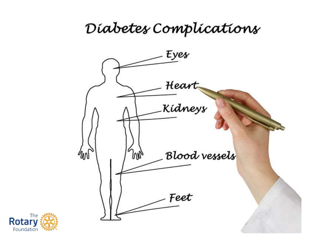### Diabetes Complications



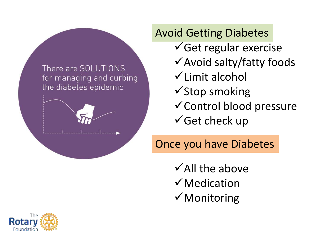

 $\checkmark$  Get regular exercise  $\checkmark$  Avoid salty/fatty foods  $\checkmark$  Limit alcohol  $\checkmark$ Stop smoking Control blood pressure  $\checkmark$  Get check up Avoid Getting Diabetes

Once you have Diabetes

 $\checkmark$  All the above  $\checkmark$  Medication  $\checkmark$  Monitoring

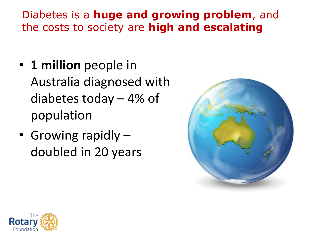### Diabetes is a **huge and growing problem**, and the costs to society are **high and escalating**

- **1 million** people in Australia diagnosed with diabetes today – 4% of population
- Growing rapidly doubled in 20 years



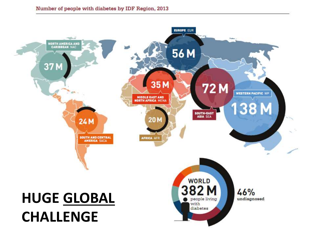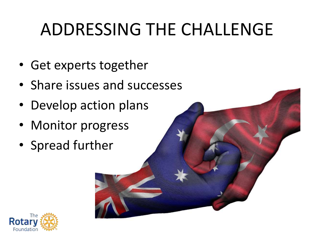# ADDRESSING THE CHALLENGE

- Get experts together
- Share issues and successes
- Develop action plans
- Monitor progress
- Spread further

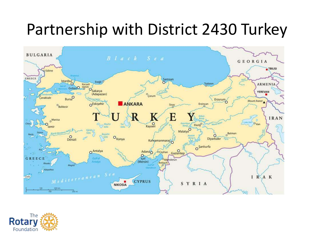## Partnership with District 2430 Turkey



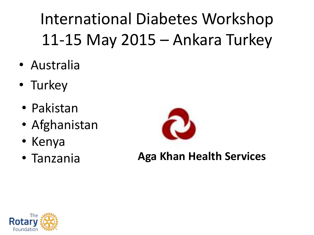International Diabetes Workshop 11-15 May 2015 – Ankara Turkey

- Australia
- Turkey
- Pakistan
- Afghanistan
- Kenya
- Tanzania



**Aga Khan Health Services**

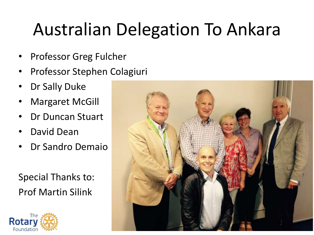# Australian Delegation To Ankara

- Professor Greg Fulcher
- Professor Stephen Colagiuri
- Dr Sally Duke
- Margaret McGill
- Dr Duncan Stuart
- David Dean
- Dr Sandro Demaio

Special Thanks to: Prof Martin Silink



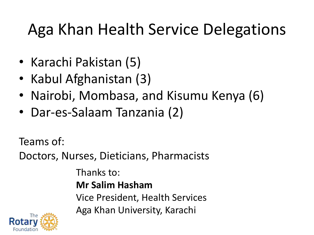## Aga Khan Health Service Delegations

- Karachi Pakistan (5)
- Kabul Afghanistan (3)
- Nairobi, Mombasa, and Kisumu Kenya (6)
- Dar-es-Salaam Tanzania (2)

Teams of:

Doctors, Nurses, Dieticians, Pharmacists

Thanks to: **Mr Salim Hasham** Vice President, Health Services Aga Khan University, Karachi

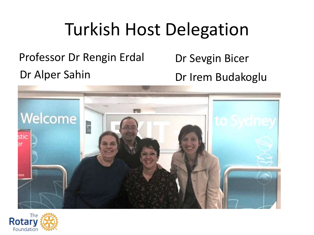## Turkish Host Delegation

Dr Alper Sahin Dr Irem Budakoglu Professor Dr Rengin Erdal Dr Sevgin Bicer



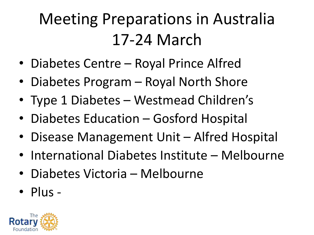## Meeting Preparations in Australia 17-24 March

- Diabetes Centre Royal Prince Alfred
- Diabetes Program Royal North Shore
- Type 1 Diabetes Westmead Children's
- Diabetes Education Gosford Hospital
- Disease Management Unit Alfred Hospital
- International Diabetes Institute Melbourne
- Diabetes Victoria Melbourne
- Plus -

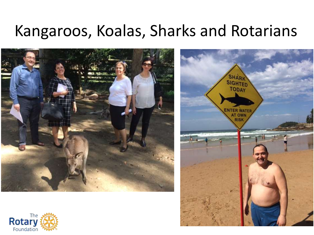### Kangaroos, Koalas, Sharks and Rotarians